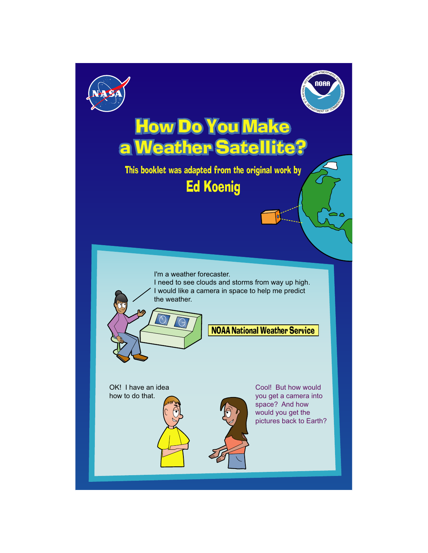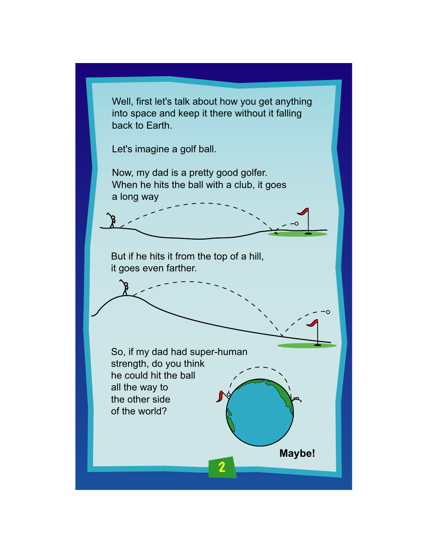Well, first let's talk about how you get anything into space and keep it there without it falling back to Earth.

Let's imagine a golf ball.

Now, my dad is a pretty good golfer. When he hits the ball with a club, it goes a long way

But if he hits it from the top of a hill, it goes even farther.

So, if my dad had super-human strength, do you think he could hit the ball all the way to the other side of the world?

2

**Maybe!**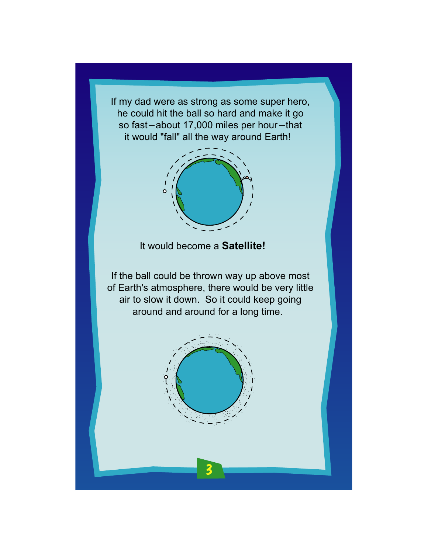If my dad were as strong as some super hero, he could hit the ball so hard and make it go so fast-about 17,000 miles per hour-that it would "fall" all the way around Earth!



It would become a **Satellite!**

If the ball could be thrown way up above most of Earth's atmosphere, there would be very little air to slow it down. So it could keep going around and around for a long time.

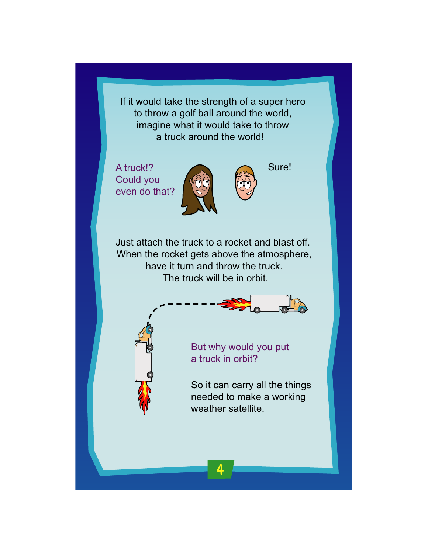If it would take the strength of a super hero to throw a golf ball around the world, imagine what it would take to throw a truck around the world!

A truck!? Could you even do that?



Sure!

Just attach the truck to a rocket and blast off. When the rocket gets above the atmosphere, have it turn and throw the truck. The truck will be in orbit.





But why would you put a truck in orbit?

4

So it can carry all the things needed to make a working weather satellite.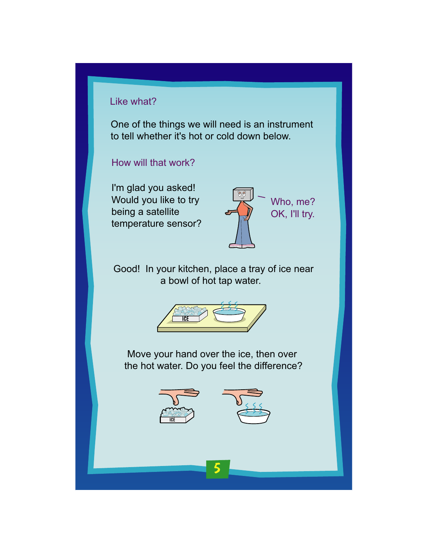### Like what?

One of the things we will need is an instrument to tell whether it's hot or cold down below.

How will that work?

I'm glad you asked! Would you like to try being a satellite temperature sensor?



Good! In your kitchen, place a tray of ice near a bowl of hot tap water.



Move your hand over the ice, then over the hot water. Do you feel the difference?



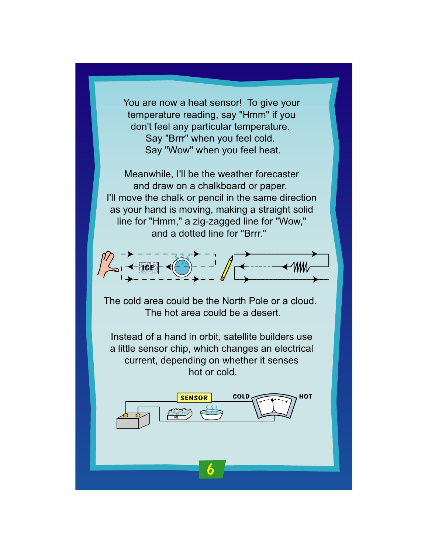You are now a heat sensor! To give your temperature reading, say "Hmm" if you don't feel any particular temperature. Say "Brrr" when you feel cold. Say "Wow" when you feel heat.

Meanwhile, I'll be the weather forecaster and draw on a chalkboard or paper. I'll move the chalk or pencil in the same direction as your hand is moving, making a straight solid line for "Hmm," a zig-zagged line for "Wow," and a dotted line for "Brrr."



The cold area could be the North Pole or a cloud. The hot area could be a desert.

Instead of a hand in orbit, satellite builders use a little sensor chip, which changes an electrical current, depending on whether it senses hot or cold.

6

ICE

SENSOR COLD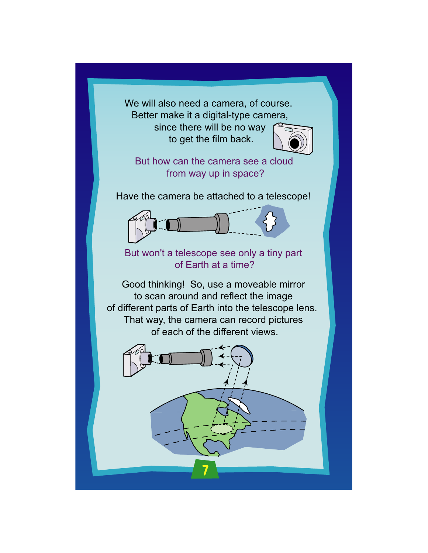We will also need a camera, of course. Better make it a digital-type camera,

> since there will be no way to get the film back.



But how can the camera see a cloud from way up in space?

Have the camera be attached to a telescope!



But won't a telescope see only a tiny part of Earth at a time?

Good thinking! So, use a moveable mirror to scan around and reflect the image of different parts of Earth into the telescope lens. That way, the camera can record pictures of each of the different views.

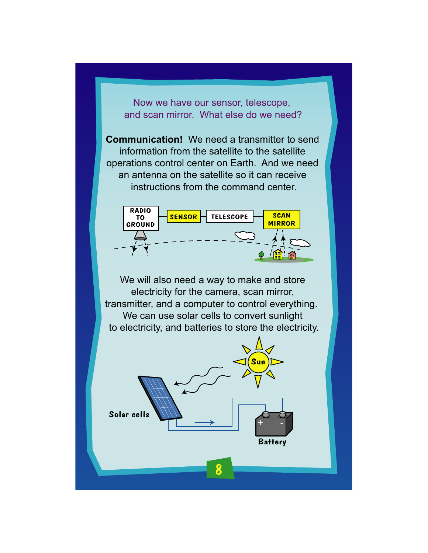Now we have our sensor, telescope, and scan mirror. What else do we need?

**Communication!** We need a transmitter to send information from the satellite to the satellite operations control center on Earth. And we need an antenna on the satellite so it can receive instructions from the command center.



We will also need a way to make and store electricity for the camera, scan mirror, transmitter, and a computer to control everything. We can use solar cells to convert sunlight to electricity, and batteries to store the electricity.

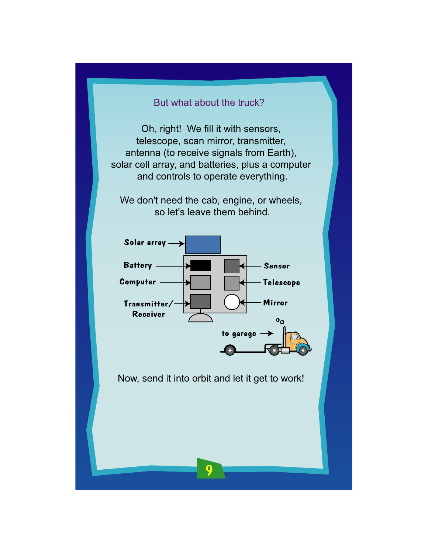# But what about the truck?

Oh, right! We fill it with sensors, telescope, scan mirror, transmitter, antenna (to receive signals from Earth), solar cell array, and batteries, plus a computer and controls to operate everything.

We don't need the cab, engine, or wheels, so let's leave them behind.



Now, send it into orbit and let it get to work!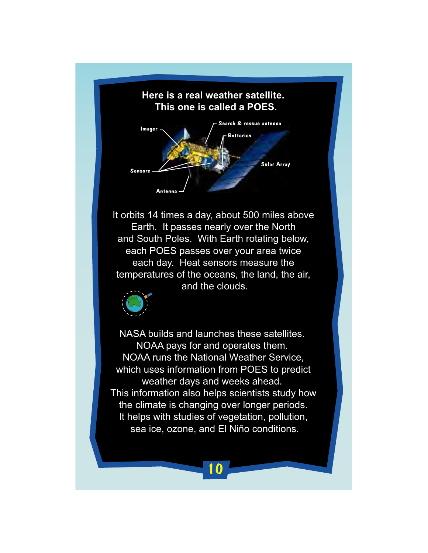## **Here is a real weather satellite. This one is called a POES.**



It orbits 14 times a day, about 500 miles above Earth. It passes nearly over the North and South Poles. With Earth rotating below, each POES passes over your area twice each day. Heat sensors measure the temperatures of the oceans, the land, the air, and the clouds.



NASA builds and launches these satellites. NOAA pays for and operates them. NOAA runs the National Weather Service, which uses information from POES to predict weather days and weeks ahead. This information also helps scientists study how the climate is changing over longer periods. It helps with studies of vegetation, pollution, sea ice, ozone, and El Niño conditions.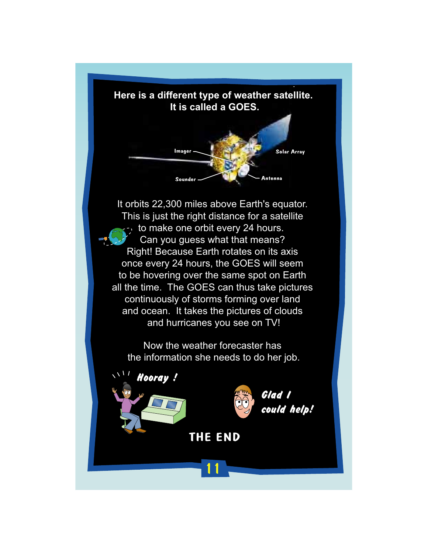